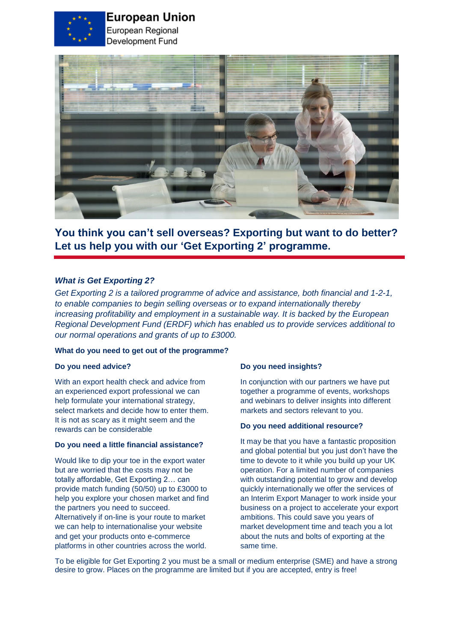

# **European Union**

European Regional Development Fund



**You think you can't sell overseas? Exporting but want to do better? Let us help you with our 'Get Exporting 2' programme.**

# *What is Get Exporting 2?*

*Get Exporting 2 is a tailored programme of advice and assistance, both financial and 1-2-1, to enable companies to begin selling overseas or to expand internationally thereby increasing profitability and employment in a sustainable way. It is backed by the European Regional Development Fund (ERDF) which has enabled us to provide services additional to our normal operations and grants of up to £3000.* 

## **What do you need to get out of the programme?**

#### **Do you need advice?**

With an export health check and advice from an experienced export professional we can help formulate your international strategy, select markets and decide how to enter them. It is not as scary as it might seem and the rewards can be considerable

#### **Do you need a little financial assistance?**

Would like to dip your toe in the export water but are worried that the costs may not be totally affordable, Get Exporting 2… can provide match funding (50/50) up to £3000 to help you explore your chosen market and find the partners you need to succeed. Alternatively if on-line is your route to market we can help to internationalise your website and get your products onto e-commerce platforms in other countries across the world.

#### **Do you need insights?**

In conjunction with our partners we have put together a programme of events, workshops and webinars to deliver insights into different markets and sectors relevant to you.

#### **Do you need additional resource?**

It may be that you have a fantastic proposition and global potential but you just don't have the time to devote to it while you build up your UK operation. For a limited number of companies with outstanding potential to grow and develop quickly internationally we offer the services of an Interim Export Manager to work inside your business on a project to accelerate your export ambitions. This could save you years of market development time and teach you a lot about the nuts and bolts of exporting at the same time.

To be eligible for Get Exporting 2 you must be a small or medium enterprise (SME) and have a strong desire to grow. Places on the programme are limited but if you are accepted, entry is free!